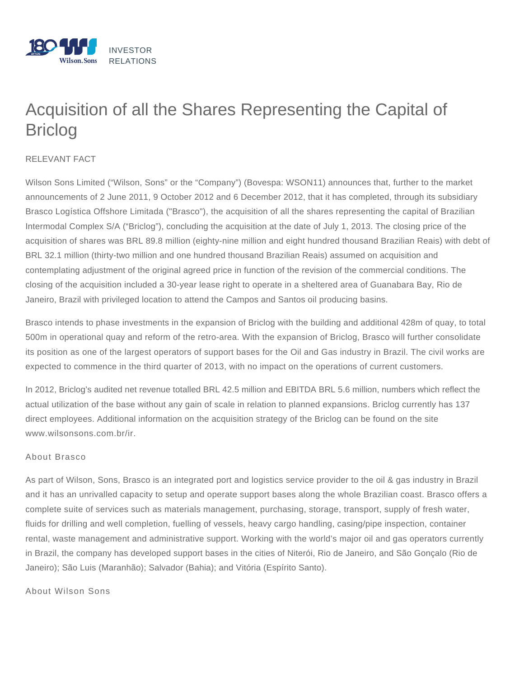

## Acquisition of all the Shares Representing the Capital of Briclog

## RELEVANT FACT

Wilson Sons Limited ("Wilson, Sons" or the "Company") (Bovespa: WSON11) announces that, further to the market announcements of 2 June 2011, 9 October 2012 and 6 December 2012, that it has completed, through its subsidiary Brasco Logística Offshore Limitada ("Brasco"), the acquisition of all the shares representing the capital of Brazilian Intermodal Complex S/A ("Briclog"), concluding the acquisition at the date of July 1, 2013. The closing price of the acquisition of shares was BRL 89.8 million (eighty-nine million and eight hundred thousand Brazilian Reais) with debt of BRL 32.1 million (thirty-two million and one hundred thousand Brazilian Reais) assumed on acquisition and contemplating adjustment of the original agreed price in function of the revision of the commercial conditions. The closing of the acquisition included a 30-year lease right to operate in a sheltered area of Guanabara Bay, Rio de Janeiro, Brazil with privileged location to attend the Campos and Santos oil producing basins.

Brasco intends to phase investments in the expansion of Briclog with the building and additional 428m of quay, to total 500m in operational quay and reform of the retro-area. With the expansion of Briclog, Brasco will further consolidate its position as one of the largest operators of support bases for the Oil and Gas industry in Brazil. The civil works are expected to commence in the third quarter of 2013, with no impact on the operations of current customers.

In 2012, Briclog's audited net revenue totalled BRL 42.5 million and EBITDA BRL 5.6 million, numbers which reflect the actual utilization of the base without any gain of scale in relation to planned expansions. Briclog currently has 137 direct employees. Additional information on the acquisition strategy of the Briclog can be found on the site www.wilsonsons.com.br/ir.

## About Brasco

As part of Wilson, Sons, Brasco is an integrated port and logistics service provider to the oil & gas industry in Brazil and it has an unrivalled capacity to setup and operate support bases along the whole Brazilian coast. Brasco offers a complete suite of services such as materials management, purchasing, storage, transport, supply of fresh water, fluids for drilling and well completion, fuelling of vessels, heavy cargo handling, casing/pipe inspection, container rental, waste management and administrative support. Working with the world's major oil and gas operators currently in Brazil, the company has developed support bases in the cities of Niterói, Rio de Janeiro, and São Gonçalo (Rio de Janeiro); São Luis (Maranhão); Salvador (Bahia); and Vitória (Espírito Santo).

## About Wilson Sons